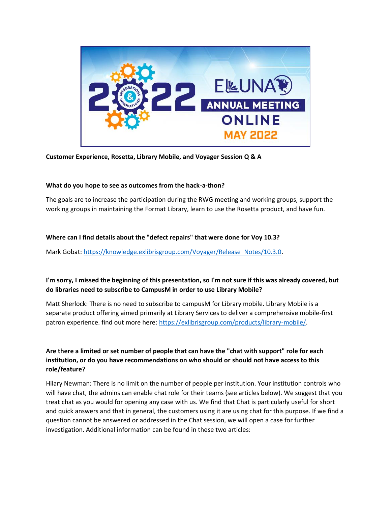

**Customer Experience, Rosetta, Library Mobile, and Voyager Session Q & A**

## **What do you hope to see as outcomes from the hack-a-thon?**

The goals are to increase the participation during the RWG meeting and working groups, support the working groups in maintaining the Format Library, learn to use the Rosetta product, and have fun.

## **Where can I find details about the "defect repairs" that were done for Voy 10.3?**

Mark Gobat: [https://knowledge.exlibrisgroup.com/Voyager/Release\\_Notes/10.3.0.](https://knowledge.exlibrisgroup.com/Voyager/Release_Notes/10.3.0)

# **I'm sorry, I missed the beginning of this presentation, so I'm not sure if this was already covered, but do libraries need to subscribe to CampusM in order to use Library Mobile?**

Matt Sherlock: There is no need to subscribe to campusM for Library mobile. Library Mobile is a separate product offering aimed primarily at Library Services to deliver a comprehensive mobile-first patron experience. find out more here: [https://exlibrisgroup.com/products/library-mobile/.](https://exlibrisgroup.com/products/library-mobile/)

# **Are there a limited or set number of people that can have the "chat with support" role for each institution, or do you have recommendations on who should or should not have access to this role/feature?**

Hilary Newman: There is no limit on the number of people per institution. Your institution controls who will have chat, the admins can enable chat role for their teams (see articles below). We suggest that you treat chat as you would for opening any case with us. We find that Chat is particularly useful for short and quick answers and that in general, the customers using it are using chat for this purpose. If we find a question cannot be answered or addressed in the Chat session, we will open a case for further investigation. Additional information can be found in these two articles: